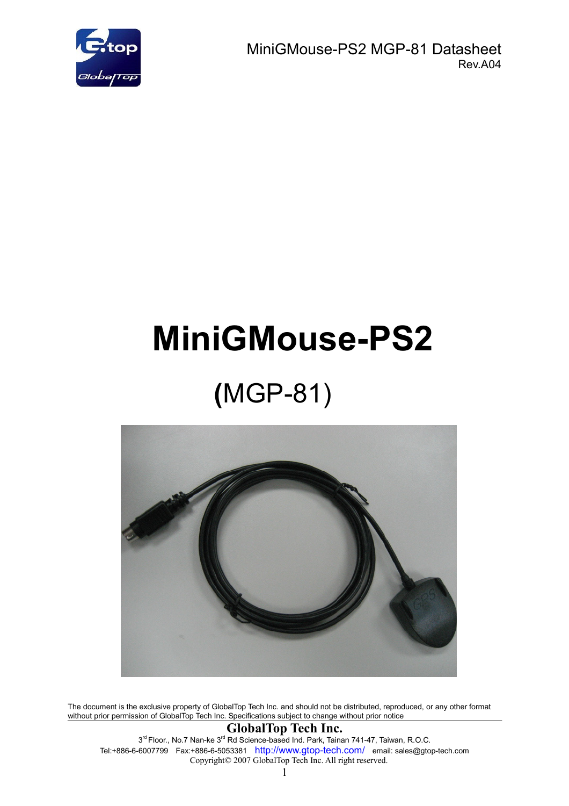

 MiniGMouse-PS2 MGP-81 Datasheet Rev.A04

# **MiniGMouse-PS2**

## **(**MGP-81)



The document is the exclusive property of GlobalTop Tech Inc. and should not be distributed, reproduced, or any other format without prior permission of GlobalTop Tech Inc. Specifications subject to change without prior notice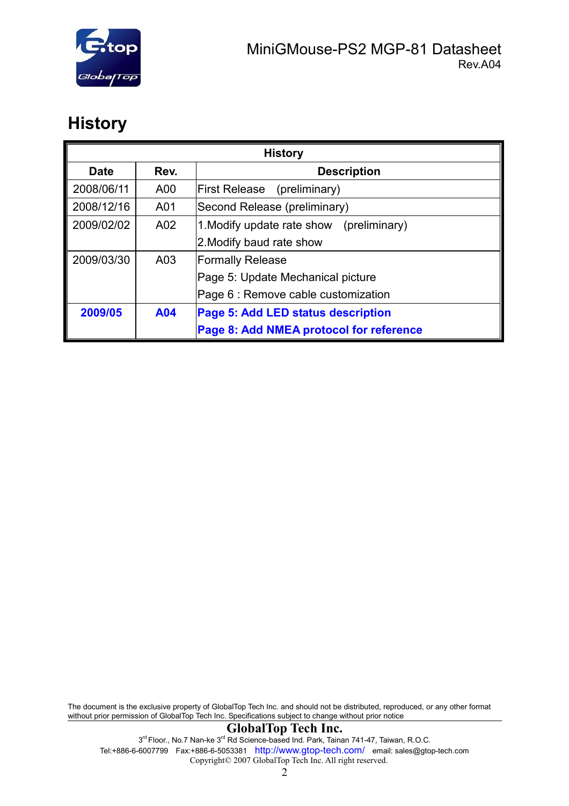

## **History**

| <b>History</b> |                 |                                          |  |  |
|----------------|-----------------|------------------------------------------|--|--|
| <b>Date</b>    | Rev.            | <b>Description</b>                       |  |  |
| 2008/06/11     | A00             | <b>First Release</b><br>(preliminary)    |  |  |
| 2008/12/16     | A01             | Second Release (preliminary)             |  |  |
| 2009/02/02     | A <sub>02</sub> | 1. Modify update rate show (preliminary) |  |  |
|                |                 | 2. Modify baud rate show                 |  |  |
| 2009/03/30     | A03             | <b>Formally Release</b>                  |  |  |
|                |                 | Page 5: Update Mechanical picture        |  |  |
|                |                 | Page 6 : Remove cable customization      |  |  |
| 2009/05        | A04             | Page 5: Add LED status description       |  |  |
|                |                 | Page 8: Add NMEA protocol for reference  |  |  |

The document is the exclusive property of GlobalTop Tech Inc. and should not be distributed, reproduced, or any other format without prior permission of GlobalTop Tech Inc. Specifications subject to change without prior notice

#### **GlobalTop Tech Inc.**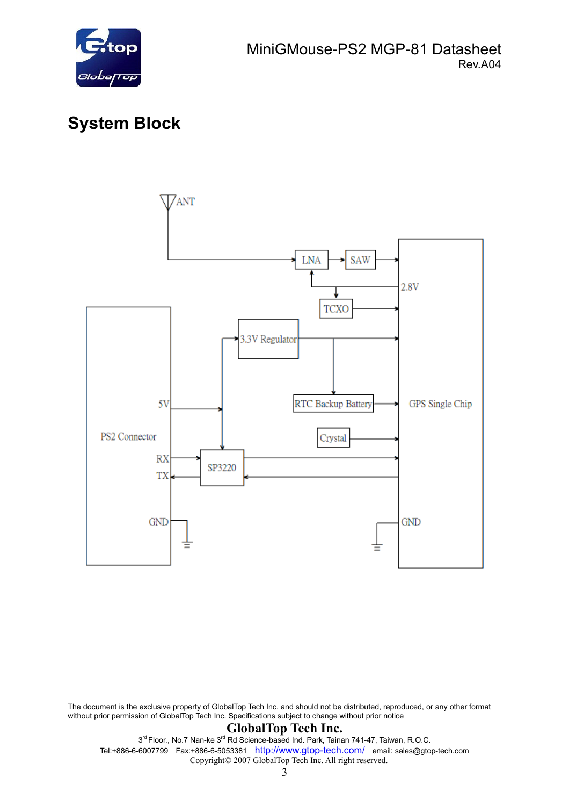

## **System Block**



The document is the exclusive property of GlobalTop Tech Inc. and should not be distributed, reproduced, or any other format without prior permission of GlobalTop Tech Inc. Specifications subject to change without prior notice

#### **GlobalTop Tech Inc.**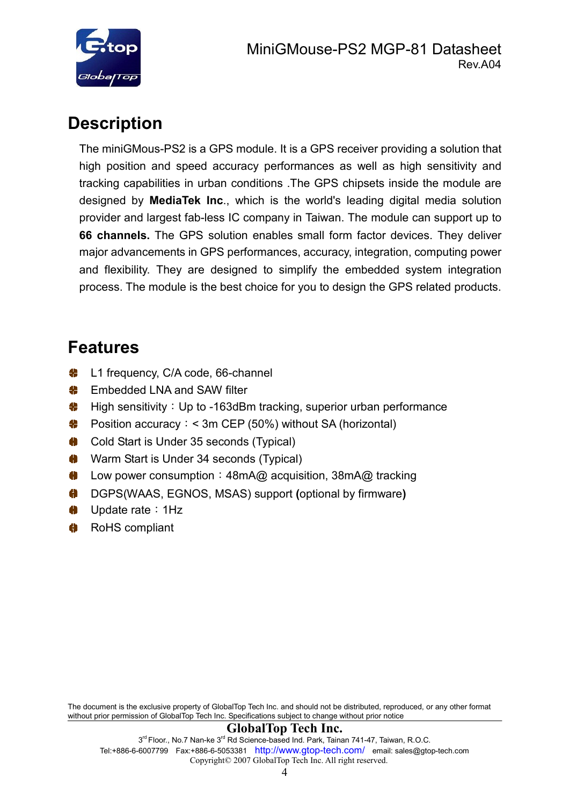

## **Description**

The miniGMous-PS2 is a GPS module. It is a GPS receiver providing a solution that high position and speed accuracy performances as well as high sensitivity and tracking capabilities in urban conditions .The GPS chipsets inside the module are designed by **MediaTek Inc**., which is the world's leading digital media solution provider and largest fab-less IC company in Taiwan. The module can support up to **66 channels.** The GPS solution enables small form factor devices. They deliver major advancements in GPS performances, accuracy, integration, computing power and flexibility. They are designed to simplify the embedded system integration process. The module is the best choice for you to design the GPS related products.

## **Features**

- **C** L1 frequency, C/A code, 66-channel
- Embedded LNA and SAW filter
- High sensitivity: Up to -163dBm tracking, superior urban performance
- Position accuracy:< 3m CEP (50%) without SA (horizontal)
- **♦** Cold Start is Under 35 seconds (Typical)
- Warm Start is Under 34 seconds (Typical)
- ♦ Low power consumption: 48mA@ acquisition, 38mA@ tracking
- DGPS(WAAS, EGNOS, MSAS) support **(**optional by firmware**)**
- Update rate:1Hz
- RoHS compliant

The document is the exclusive property of GlobalTop Tech Inc. and should not be distributed, reproduced, or any other format without prior permission of GlobalTop Tech Inc. Specifications subject to change without prior notice

#### **GlobalTop Tech Inc.**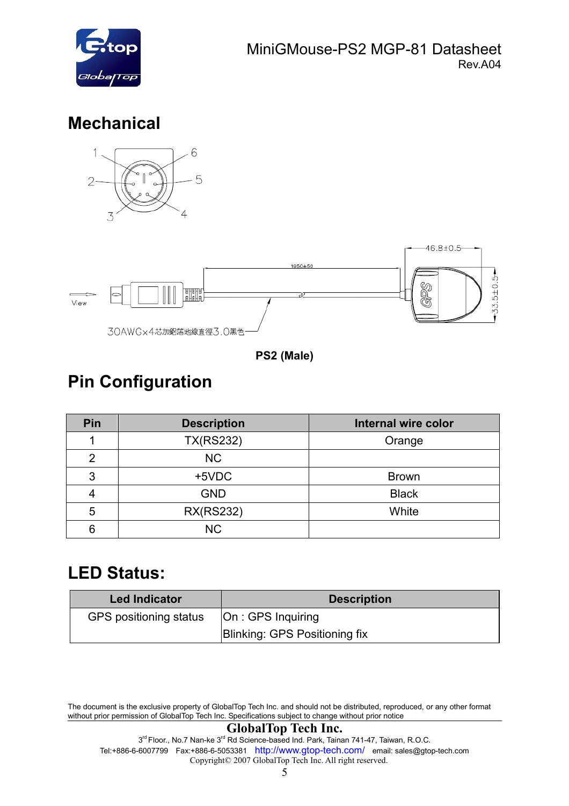

## **Mechanical**



**PS2 (Male)** 

## **Pin Configuration**

| Pin            | <b>Description</b> | <b>Internal wire color</b> |
|----------------|--------------------|----------------------------|
|                | <b>TX(RS232)</b>   | Orange                     |
| $\overline{2}$ | <b>NC</b>          |                            |
| 3              | +5VDC              | <b>Brown</b>               |
|                | <b>GND</b>         | <b>Black</b>               |
| 5              | <b>RX(RS232)</b>   | White                      |
| 6              | <b>NC</b>          |                            |

### **LED Status:**

| <b>Led Indicator</b>   | <b>Description</b>            |
|------------------------|-------------------------------|
| GPS positioning status | On : GPS Inquiring            |
|                        | Blinking: GPS Positioning fix |

The document is the exclusive property of GlobalTop Tech Inc. and should not be distributed, reproduced, or any other format without prior permission of GlobalTop Tech Inc. Specifications subject to change without prior notice

#### **GlobalTop Tech Inc.**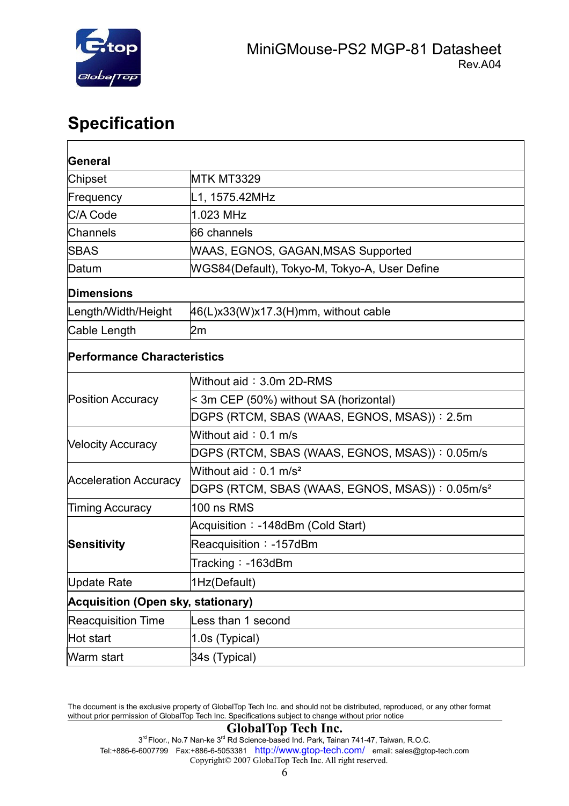

## **Specification**

| <b>General</b>                            |                                                             |  |  |
|-------------------------------------------|-------------------------------------------------------------|--|--|
| <b>Chipset</b>                            | <b>MTK MT3329</b>                                           |  |  |
| Frequency                                 | L1, 1575.42MHz                                              |  |  |
| C/A Code                                  | 1.023 MHz                                                   |  |  |
| <b>Channels</b>                           | 66 channels                                                 |  |  |
| <b>SBAS</b>                               | WAAS, EGNOS, GAGAN, MSAS Supported                          |  |  |
| Datum                                     | WGS84(Default), Tokyo-M, Tokyo-A, User Define               |  |  |
| Dimensions                                |                                                             |  |  |
| Length/Width/Height                       | $46(L)x33(W)x17.3(H)mm$ , without cable                     |  |  |
| Cable Length                              | 2m                                                          |  |  |
| <b>Performance Characteristics</b>        |                                                             |  |  |
|                                           | Without aid: 3.0m 2D-RMS                                    |  |  |
| <b>Position Accuracy</b>                  | < 3m CEP (50%) without SA (horizontal)                      |  |  |
|                                           | DGPS (RTCM, SBAS (WAAS, EGNOS, MSAS)): 2.5m                 |  |  |
| <b>Velocity Accuracy</b>                  | Without aid: $0.1$ m/s                                      |  |  |
|                                           | DGPS (RTCM, SBAS (WAAS, EGNOS, MSAS)): 0.05m/s              |  |  |
| <b>Acceleration Accuracy</b>              | Without aid: $0.1$ m/s <sup>2</sup>                         |  |  |
|                                           | DGPS (RTCM, SBAS (WAAS, EGNOS, MSAS)): 0.05m/s <sup>2</sup> |  |  |
| <b>Timing Accuracy</b>                    | 100 ns RMS                                                  |  |  |
|                                           | Acquisition: -148dBm (Cold Start)                           |  |  |
| Sensitivity                               | Reacquisition: -157dBm                                      |  |  |
|                                           | Tracking: -163dBm                                           |  |  |
| Update Rate                               | 1Hz(Default)                                                |  |  |
| <b>Acquisition (Open sky, stationary)</b> |                                                             |  |  |
| <b>Reacquisition Time</b>                 | Less than 1 second                                          |  |  |
| Hot start                                 | 1.0s (Typical)                                              |  |  |
| Warm start                                | 34s (Typical)                                               |  |  |

The document is the exclusive property of GlobalTop Tech Inc. and should not be distributed, reproduced, or any other format without prior permission of GlobalTop Tech Inc. Specifications subject to change without prior notice

#### **GlobalTop Tech Inc.**

<sup>3&</sup>lt;sup>rd</sup> Floor., No.7 Nan-ke 3<sup>rd</sup> Rd Science-based Ind. Park, Tainan 741-47, Taiwan, R.O.C. Tel:+886-6-6007799 Fax:+886-6-5053381 http://www.gtop-tech.com/ email: sales@gtop-tech.com Copyright© 2007 GlobalTop Tech Inc. All right reserved.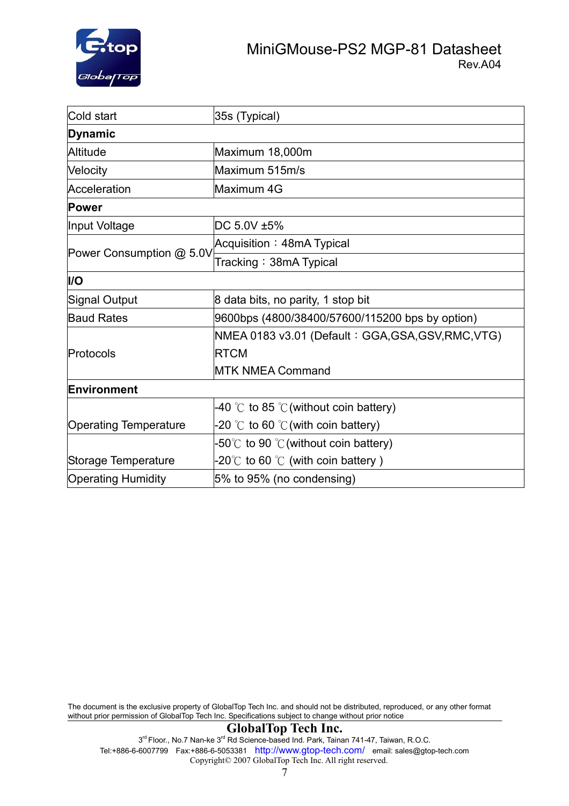

| Cold start                                                | 35s (Typical)                                         |  |  |
|-----------------------------------------------------------|-------------------------------------------------------|--|--|
| Dynamic                                                   |                                                       |  |  |
| Altitude                                                  | Maximum 18,000m                                       |  |  |
| Velocity                                                  | Maximum 515m/s                                        |  |  |
| Acceleration                                              | Maximum 4G                                            |  |  |
| <b>Power</b>                                              |                                                       |  |  |
| Input Voltage                                             | DC 5.0V ±5%                                           |  |  |
|                                                           | Acquisition: 48mA Typical                             |  |  |
| Power Consumption @ 5.0V                                  | Tracking: 38mA Typical                                |  |  |
| I/O                                                       |                                                       |  |  |
| Signal Output                                             | 8 data bits, no parity, 1 stop bit                    |  |  |
| <b>Baud Rates</b>                                         | 9600bps (4800/38400/57600/115200 bps by option)       |  |  |
|                                                           | NMEA 0183 v3.01 (Default: GGA, GSA, GSV, RMC, VTG)    |  |  |
| Protocols                                                 | <b>RTCM</b>                                           |  |  |
|                                                           | <b>MTK NMEA Command</b>                               |  |  |
| Environment                                               |                                                       |  |  |
|                                                           | -40 °C to 85 °C (without coin battery)                |  |  |
| <b>Operating Temperature</b>                              | -20 $\degree$ C to 60 $\degree$ C (with coin battery) |  |  |
|                                                           | -50°C to 90 °C (without coin battery)                 |  |  |
| -20°C to 60 °C (with coin battery)<br>Storage Temperature |                                                       |  |  |
| <b>Operating Humidity</b><br>5% to 95% (no condensing)    |                                                       |  |  |

The document is the exclusive property of GlobalTop Tech Inc. and should not be distributed, reproduced, or any other format without prior permission of GlobalTop Tech Inc. Specifications subject to change without prior notice

#### **GlobalTop Tech Inc.**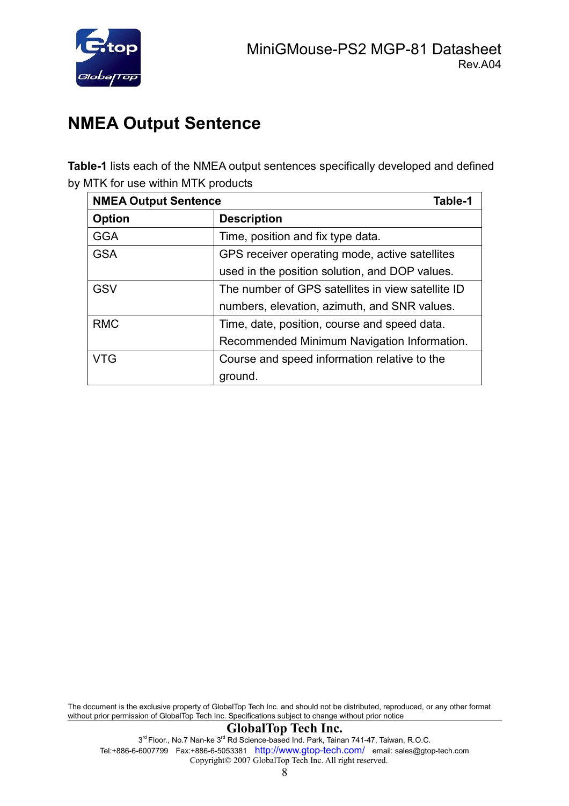

## **NMEA Output Sentence**

**Table-1** lists each of the NMEA output sentences specifically developed and defined by MTK for use within MTK products

| <b>NMEA Output Sentence</b><br>Table-1 |                                                   |  |
|----------------------------------------|---------------------------------------------------|--|
| <b>Option</b>                          | <b>Description</b>                                |  |
| <b>GGA</b>                             | Time, position and fix type data.                 |  |
| <b>GSA</b>                             | GPS receiver operating mode, active satellites    |  |
|                                        | used in the position solution, and DOP values.    |  |
| <b>GSV</b>                             | The number of GPS satellites in view satellite ID |  |
|                                        | numbers, elevation, azimuth, and SNR values.      |  |
| <b>RMC</b>                             | Time, date, position, course and speed data.      |  |
|                                        | Recommended Minimum Navigation Information.       |  |
| VTG                                    | Course and speed information relative to the      |  |
|                                        | ground.                                           |  |

The document is the exclusive property of GlobalTop Tech Inc. and should not be distributed, reproduced, or any other format without prior permission of GlobalTop Tech Inc. Specifications subject to change without prior notice

#### **GlobalTop Tech Inc.**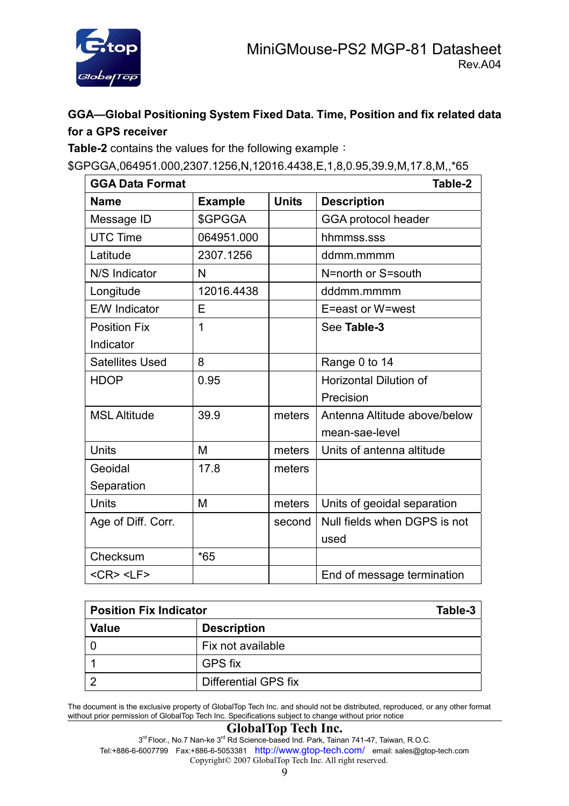

#### **GGA—Global Positioning System Fixed Data. Time, Position and fix related data for a GPS receiver**

**Table-2** contains the values for the following example:

\$GPGGA,064951.000,2307.1256,N,12016.4438,E,1,8,0.95,39.9,M,17.8,M,,\*65

| <b>GGA Data Format</b> |                |              | Table-2                       |
|------------------------|----------------|--------------|-------------------------------|
| <b>Name</b>            | <b>Example</b> | <b>Units</b> | <b>Description</b>            |
| Message ID             | \$GPGGA        |              | GGA protocol header           |
| <b>UTC Time</b>        | 064951.000     |              | hhmmss.sss                    |
| Latitude               | 2307.1256      |              | ddmm.mmmm                     |
| N/S Indicator          | N              |              | N=north or S=south            |
| Longitude              | 12016.4438     |              | dddmm.mmmm                    |
| <b>E/W</b> Indicator   | Е              |              | E=east or W=west              |
| <b>Position Fix</b>    | 1              |              | See Table-3                   |
| Indicator              |                |              |                               |
| <b>Satellites Used</b> | 8              |              | Range 0 to 14                 |
| <b>HDOP</b>            | 0.95           |              | <b>Horizontal Dilution of</b> |
|                        |                |              | Precision                     |
| <b>MSL Altitude</b>    | 39.9           | meters       | Antenna Altitude above/below  |
|                        |                |              | mean-sae-level                |
| Units                  | M              | meters       | Units of antenna altitude     |
| Geoidal                | 17.8           | meters       |                               |
| Separation             |                |              |                               |
| Units                  | M              | meters       | Units of geoidal separation   |
| Age of Diff. Corr.     |                | second       | Null fields when DGPS is not  |
|                        |                |              | used                          |
| Checksum               | $*65$          |              |                               |
| $<$ CR $>$ $<$ LF $>$  |                |              | End of message termination    |

| <b>Position Fix Indicator</b> | Table-3              |
|-------------------------------|----------------------|
| <b>Value</b>                  | <b>Description</b>   |
|                               | Fix not available    |
|                               | <b>GPS fix</b>       |
| ◠                             | Differential GPS fix |

The document is the exclusive property of GlobalTop Tech Inc. and should not be distributed, reproduced, or any other format without prior permission of GlobalTop Tech Inc. Specifications subject to change without prior notice

#### **GlobalTop Tech Inc.**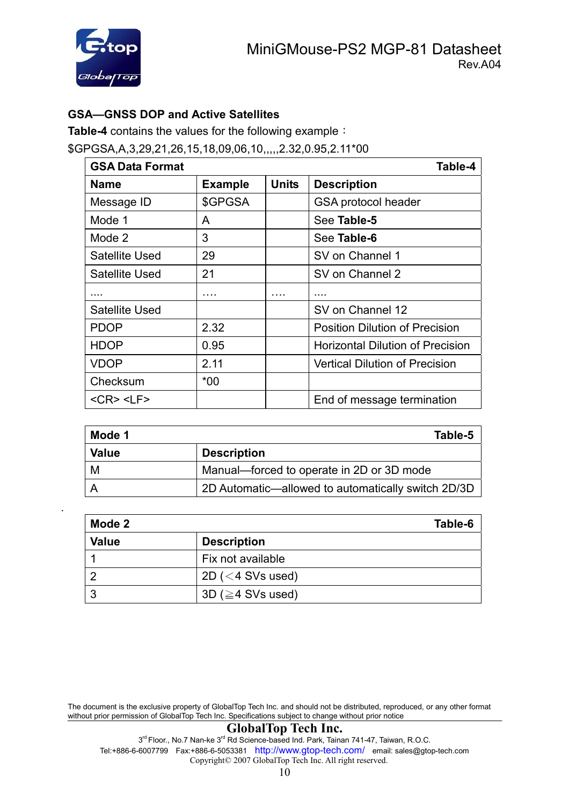

#### **GSA—GNSS DOP and Active Satellites**

**Table-4** contains the values for the following example:

\$GPGSA,A,3,29,21,26,15,18,09,06,10,,,,,2.32,0.95,2.11\*00

| <b>GSA Data Format</b> |                |              | Table-4                                 |
|------------------------|----------------|--------------|-----------------------------------------|
| <b>Name</b>            | <b>Example</b> | <b>Units</b> | <b>Description</b>                      |
| Message ID             | \$GPGSA        |              | <b>GSA protocol header</b>              |
| Mode 1                 | A              |              | See Table-5                             |
| Mode 2                 | 3              |              | See Table-6                             |
| <b>Satellite Used</b>  | 29             |              | SV on Channel 1                         |
| Satellite Used         | 21             |              | SV on Channel 2                         |
|                        | .              |              |                                         |
| <b>Satellite Used</b>  |                |              | SV on Channel 12                        |
| <b>PDOP</b>            | 2.32           |              | <b>Position Dilution of Precision</b>   |
| <b>HDOP</b>            | 0.95           |              | <b>Horizontal Dilution of Precision</b> |
| <b>VDOP</b>            | 2.11           |              | <b>Vertical Dilution of Precision</b>   |
| Checksum               | $*00$          |              |                                         |
| $<$ CR $>$ $<$ LF $>$  |                |              | End of message termination              |

| Mode 1       | Table-5                                            |
|--------------|----------------------------------------------------|
| <b>Value</b> | <b>Description</b>                                 |
| M            | Manual-forced to operate in 2D or 3D mode          |
| A            | 2D Automatic—allowed to automatically switch 2D/3D |

| Mode 2       | Table-6                 |
|--------------|-------------------------|
| <b>Value</b> | <b>Description</b>      |
|              | Fix not available       |
| റ            | 2D ( $<$ 4 SVs used)    |
| ີ            | 3D ( $\geq$ 4 SVs used) |

The document is the exclusive property of GlobalTop Tech Inc. and should not be distributed, reproduced, or any other format without prior permission of GlobalTop Tech Inc. Specifications subject to change without prior notice

#### **GlobalTop Tech Inc.**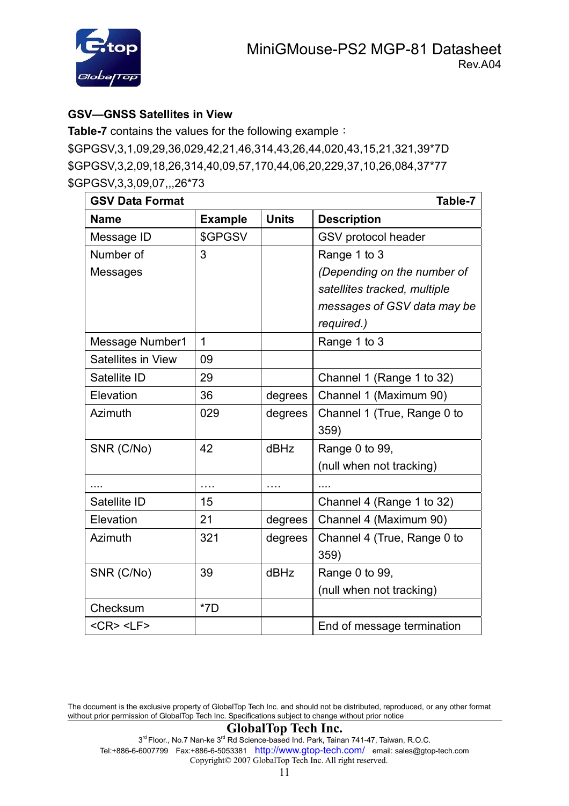

#### **GSV—GNSS Satellites in View**

**Table-7** contains the values for the following example: \$GPGSV,3,1,09,29,36,029,42,21,46,314,43,26,44,020,43,15,21,321,39\*7D \$GPGSV,3,2,09,18,26,314,40,09,57,170,44,06,20,229,37,10,26,084,37\*77 \$GPGSV,3,3,09,07,,,26\*73

| <b>GSV Data Format</b> |                |              | Table-7                      |
|------------------------|----------------|--------------|------------------------------|
| <b>Name</b>            | <b>Example</b> | <b>Units</b> | <b>Description</b>           |
| Message ID             | \$GPGSV        |              | GSV protocol header          |
| Number of              | 3              |              | Range 1 to 3                 |
| Messages               |                |              | (Depending on the number of  |
|                        |                |              | satellites tracked, multiple |
|                        |                |              | messages of GSV data may be  |
|                        |                |              | required.)                   |
| <b>Message Number1</b> | $\mathbf 1$    |              | Range 1 to 3                 |
| Satellites in View     | 09             |              |                              |
| Satellite ID           | 29             |              | Channel 1 (Range 1 to 32)    |
| Elevation              | 36             | degrees      | Channel 1 (Maximum 90)       |
| Azimuth                | 029            | degrees      | Channel 1 (True, Range 0 to  |
|                        |                |              | 359)                         |
| SNR (C/No)             | 42             | dBHz         | Range 0 to 99,               |
|                        |                |              | (null when not tracking)     |
|                        | $\cdots$       | .            |                              |
| Satellite ID           | 15             |              | Channel 4 (Range 1 to 32)    |
| Elevation              | 21             | degrees      | Channel 4 (Maximum 90)       |
| Azimuth                | 321            | degrees      | Channel 4 (True, Range 0 to  |
|                        |                |              | 359)                         |
| SNR (C/No)             | 39             | dBHz         | Range 0 to 99,               |
|                        |                |              | (null when not tracking)     |
| Checksum               | $*7D$          |              |                              |
| $<$ CR> $<$ LF>        |                |              | End of message termination   |

The document is the exclusive property of GlobalTop Tech Inc. and should not be distributed, reproduced, or any other format without prior permission of GlobalTop Tech Inc. Specifications subject to change without prior notice

#### **GlobalTop Tech Inc.**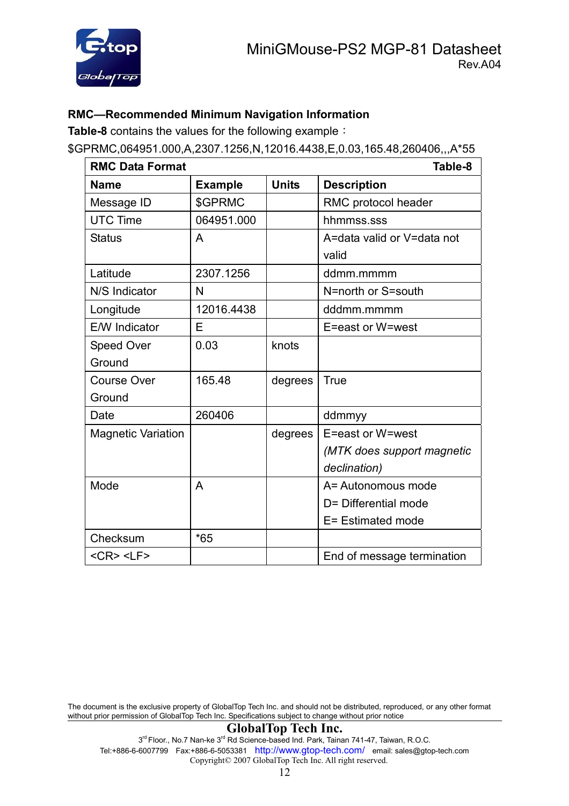

#### **RMC—Recommended Minimum Navigation Information**

**Table-8** contains the values for the following example:

\$GPRMC,064951.000,A,2307.1256,N,12016.4438,E,0.03,165.48,260406,,,A\*55

| <b>RMC Data Format</b>    |                | Table-8      |                            |
|---------------------------|----------------|--------------|----------------------------|
| <b>Name</b>               | <b>Example</b> | <b>Units</b> | <b>Description</b>         |
| Message ID                | \$GPRMC        |              | RMC protocol header        |
| <b>UTC Time</b>           | 064951.000     |              | hhmmss.sss                 |
| <b>Status</b>             | A              |              | A=data valid or V=data not |
|                           |                |              | valid                      |
| Latitude                  | 2307.1256      |              | ddmm.mmmm                  |
| N/S Indicator             | N              |              | N=north or S=south         |
| Longitude                 | 12016.4438     |              | dddmm.mmmm                 |
| <b>E/W</b> Indicator      | Е              |              | E=east or W=west           |
| Speed Over                | 0.03           | knots        |                            |
| Ground                    |                |              |                            |
| <b>Course Over</b>        | 165.48         | degrees      | <b>True</b>                |
| Ground                    |                |              |                            |
| Date                      | 260406         |              | ddmmyy                     |
| <b>Magnetic Variation</b> |                | degrees      | E=east or W=west           |
|                           |                |              | (MTK does support magnetic |
|                           |                |              | declination)               |
| Mode                      | A              |              | A= Autonomous mode         |
|                           |                |              | D= Differential mode       |
|                           |                |              | E= Estimated mode          |
| Checksum                  | $*65$          |              |                            |
| $<$ CR> $<$ LF>           |                |              | End of message termination |

The document is the exclusive property of GlobalTop Tech Inc. and should not be distributed, reproduced, or any other format without prior permission of GlobalTop Tech Inc. Specifications subject to change without prior notice

#### **GlobalTop Tech Inc.**